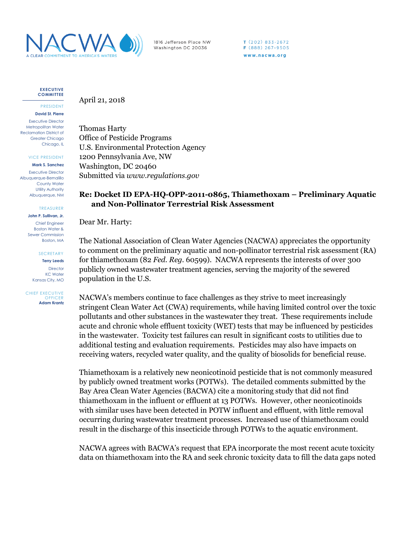

1816 Jefferson Place NW Washington DC 20036

 $T(202)833-2672$ F (888) 267-9505 www.nacwa.org

**EXECUTIVE COMMITTEE**

PRESIDENT **David St. Pierre**

Executive Director Metropolitan Water Reclamation District of Greater Chicago Chicago, IL

VICE PRESIDENT

**Mark S. Sanchez** Executive Director

Albuquerque-Bernalillo County Water Utility Authority Albuquerque, NM

TREASURER

**John P. Sullivan, Jr.** Chief Engineer Boston Water & Sewer Commission Boston, MA

**SECRETARY** 

**Terry Leeds Director** KC Water Kansas City, MO

CHIEF EXECUTIVE **OFFICER Adam Krantz**

## April 21, 2018

Thomas Harty Office of Pesticide Programs U.S. Environmental Protection Agency 1200 Pennsylvania Ave, NW Washington, DC 20460 Submitted via *www.regulations.gov*

## **Re: Docket ID EPA-HQ-OPP-2011-0865, Thiamethoxam – Preliminary Aquatic and Non-Pollinator Terrestrial Risk Assessment**

Dear Mr. Harty:

The National Association of Clean Water Agencies (NACWA) appreciates the opportunity to comment on the preliminary aquatic and non-pollinator terrestrial risk assessment (RA) for thiamethoxam (82 *Fed. Reg*. 60599). NACWA represents the interests of over 300 publicly owned wastewater treatment agencies, serving the majority of the sewered population in the U.S.

NACWA's members continue to face challenges as they strive to meet increasingly stringent Clean Water Act (CWA) requirements, while having limited control over the toxic pollutants and other substances in the wastewater they treat. These requirements include acute and chronic whole effluent toxicity (WET) tests that may be influenced by pesticides in the wastewater. Toxicity test failures can result in significant costs to utilities due to additional testing and evaluation requirements. Pesticides may also have impacts on receiving waters, recycled water quality, and the quality of biosolids for beneficial reuse.

Thiamethoxam is a relatively new neonicotinoid pesticide that is not commonly measured by publicly owned treatment works (POTWs). The detailed comments submitted by the Bay Area Clean Water Agencies (BACWA) cite a monitoring study that did not find thiamethoxam in the influent or effluent at 13 POTWs. However, other neonicotinoids with similar uses have been detected in POTW influent and effluent, with little removal occurring during wastewater treatment processes. Increased use of thiamethoxam could result in the discharge of this insecticide through POTWs to the aquatic environment.

NACWA agrees with BACWA's request that EPA incorporate the most recent acute toxicity data on thiamethoxam into the RA and seek chronic toxicity data to fill the data gaps noted